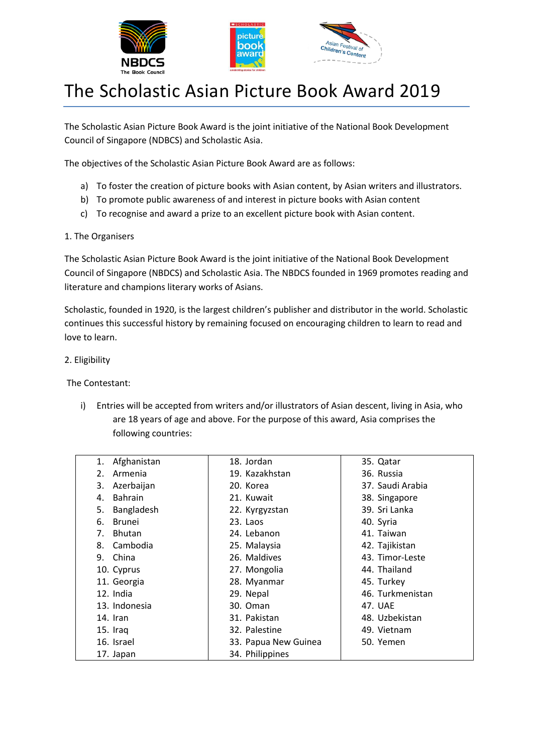



# The Scholastic Asian Picture Book Award 2019

The Scholastic Asian Picture Book Award is the joint initiative of the National Book Development Council of Singapore (NDBCS) and Scholastic Asia.

The objectives of the Scholastic Asian Picture Book Award are as follows:

- a) To foster the creation of picture books with Asian content, by Asian writers and illustrators.
- b) To promote public awareness of and interest in picture books with Asian content
- c) To recognise and award a prize to an excellent picture book with Asian content.
- 1. The Organisers

The Scholastic Asian Picture Book Award is the joint initiative of the National Book Development Council of Singapore (NBDCS) and Scholastic Asia. The NBDCS founded in 1969 promotes reading and literature and champions literary works of Asians.

Scholastic, founded in 1920, is the largest children's publisher and distributor in the world. Scholastic continues this successful history by remaining focused on encouraging children to learn to read and love to learn.

2. Eligibility

The Contestant:

i) Entries will be accepted from writers and/or illustrators of Asian descent, living in Asia, who are 18 years of age and above. For the purpose of this award, Asia comprises the following countries:

| Afghanistan<br>1.    | 18. Jordan           | 35. Qatar        |
|----------------------|----------------------|------------------|
| Armenia<br>2.        | 19. Kazakhstan       | 36. Russia       |
| Azerbaijan<br>3.     | 20. Korea            | 37. Saudi Arabia |
| <b>Bahrain</b><br>4. | 21. Kuwait           | 38. Singapore    |
| Bangladesh<br>5.     | 22. Kyrgyzstan       | 39. Sri Lanka    |
| <b>Brunei</b><br>6.  | 23. Laos             | 40. Syria        |
| Bhutan<br>7.         | 24. Lebanon          | 41. Taiwan       |
| Cambodia<br>8.       | 25. Malaysia         | 42. Tajikistan   |
| 9. China             | 26. Maldives         | 43. Timor-Leste  |
| 10. Cyprus           | 27. Mongolia         | 44. Thailand     |
| 11. Georgia          | 28. Myanmar          | 45. Turkey       |
| 12. India            | 29. Nepal            | 46. Turkmenistan |
| 13. Indonesia        | 30. Oman             | 47. UAE          |
| 14. Iran             | 31. Pakistan         | 48. Uzbekistan   |
| 15. Iraq             | 32. Palestine        | 49. Vietnam      |
| 16. Israel           | 33. Papua New Guinea | 50. Yemen        |
| 17. Japan            | 34. Philippines      |                  |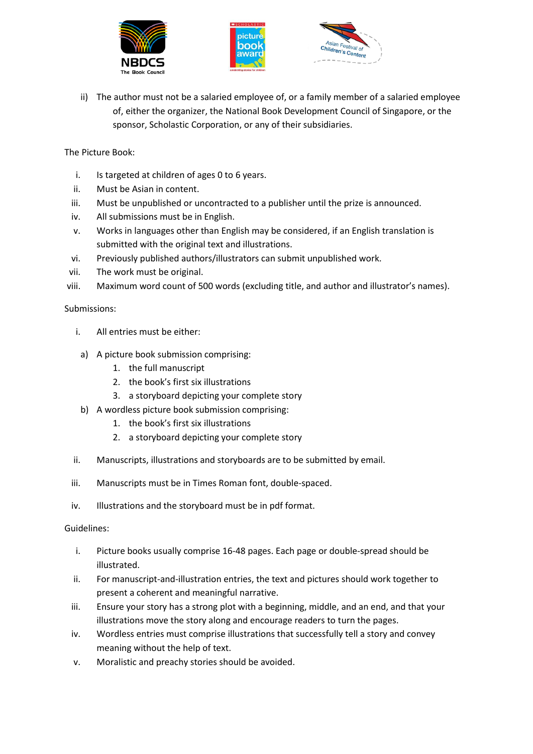





ii) The author must not be a salaried employee of, or a family member of a salaried employee of, either the organizer, the National Book Development Council of Singapore, or the sponsor, Scholastic Corporation, or any of their subsidiaries.

The Picture Book:

- i. Is targeted at children of ages 0 to 6 years.
- ii. Must be Asian in content.
- iii. Must be unpublished or uncontracted to a publisher until the prize is announced.
- iv. All submissions must be in English.
- v. Works in languages other than English may be considered, if an English translation is submitted with the original text and illustrations.
- vi. Previously published authors/illustrators can submit unpublished work.
- vii. The work must be original.
- viii. Maximum word count of 500 words (excluding title, and author and illustrator's names).

#### Submissions:

- i. All entries must be either:
- a) A picture book submission comprising:
	- 1. the full manuscript
	- 2. the book's first six illustrations
	- 3. a storyboard depicting your complete story
- b) A wordless picture book submission comprising:
	- 1. the book's first six illustrations
	- 2. a storyboard depicting your complete story
- ii. Manuscripts, illustrations and storyboards are to be submitted by email.
- iii. Manuscripts must be in Times Roman font, double-spaced.
- iv. Illustrations and the storyboard must be in pdf format.

#### Guidelines:

- i. Picture books usually comprise 16-48 pages. Each page or double-spread should be illustrated.
- ii. For manuscript-and-illustration entries, the text and pictures should work together to present a coherent and meaningful narrative.
- iii. Ensure your story has a strong plot with a beginning, middle, and an end, and that your illustrations move the story along and encourage readers to turn the pages.
- iv. Wordless entries must comprise illustrations that successfully tell a story and convey meaning without the help of text.
- v. Moralistic and preachy stories should be avoided.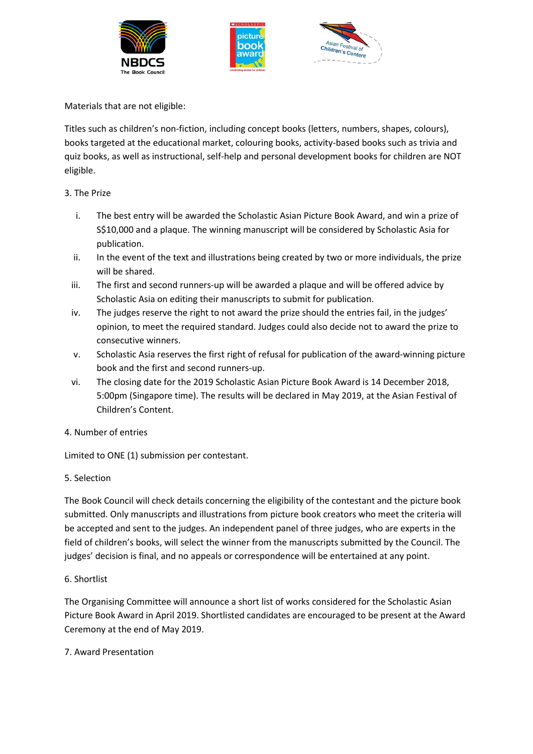





Materials that are not eligible:

Titles such as children's non-fiction, including concept books (letters, numbers, shapes, colours), books targeted at the educational market, colouring books, activity-based books such as trivia and quiz books, as well as instructional, self-help and personal development books for children are NOT eligible.

# 3. The Prize

- i. The best entry will be awarded the Scholastic Asian Picture Book Award, and win a prize of S\$10,000 and a plaque. The winning manuscript will be considered by Scholastic Asia for publication.
- ii. In the event of the text and illustrations being created by two or more individuals, the prize will be shared.
- iii. The first and second runners-up will be awarded a plaque and will be offered advice by Scholastic Asia on editing their manuscripts to submit for publication.
- iv. The judges reserve the right to not award the prize should the entries fail, in the judges' opinion, to meet the required standard. Judges could also decide not to award the prize to consecutive winners.
- v. Scholastic Asia reserves the first right of refusal for publication of the award-winning picture book and the first and second runners-up.
- vi. The closing date for the 2019 Scholastic Asian Picture Book Award is 14 December 2018, 5:00pm (Singapore time). The results will be declared in May 2019, at the Asian Festival of Children's Content.

#### 4. Number of entries

Limited to ONE (1) submission per contestant.

#### 5. Selection

The Book Council will check details concerning the eligibility of the contestant and the picture book submitted. Only manuscripts and illustrations from picture book creators who meet the criteria will be accepted and sent to the judges. An independent panel of three judges, who are experts in the field of children's books, will select the winner from the manuscripts submitted by the Council. The judges' decision is final, and no appeals or correspondence will be entertained at any point.

#### 6. Shortlist

The Organising Committee will announce a short list of works considered for the Scholastic Asian Picture Book Award in April 2019. Shortlisted candidates are encouraged to be present at the Award Ceremony at the end of May 2019.

#### 7. Award Presentation